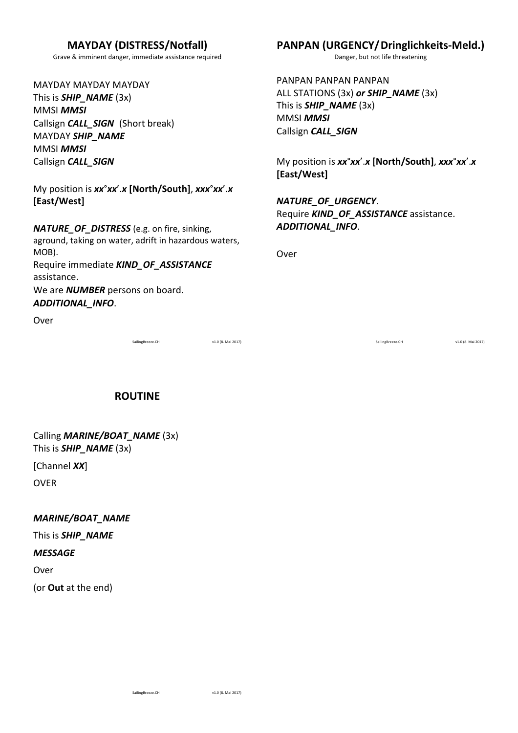## **MAYDAY (DISTRESS/Notfall)**

Grave & imminent danger, immediate assistance required

MAYDAY MAYDAY MAYDAY This is **SHIP\_NAME** (3x) MMSI *MMSI* Callsign **CALL\_SIGN** (Short break) MAYDAY *SHIP\_NAME* MMSI *MMSI* Callsign *CALL\_SIGN*

My position is  $xx^{\circ}xx'$ .*x* [North/South],  $xxx^{\circ}xx'$ .*x* **[East/West]**

*NATURE\_OF\_DISTRESS* (e.g. on fire, sinking, aground, taking on water, adrift in hazardous waters, MOB). Require immediate **KIND\_OF\_ASSISTANCE** assistance. We are **NUMBER** persons on board. *ADDITIONAL\_INFO*. 

Over 

SailingBreeze.CH v1.0 (8. Mai 2017)

## **PANPAN (URGENCY/Dringlichkeits-Meld.)**

Danger, but not life threatening

PANPAN PANPAN ALL STATIONS (3x) or **SHIP\_NAME** (3x) This is **SHIP\_NAME** (3x) MMSI *MMSI* Callsign *CALL\_SIGN*

My position is  $xx^{\circ}xx'$ .*x* [North/South],  $xxx^{\circ}xx'$ .*x* **[East/West]**

*NATURE\_OF\_URGENCY*. Require **KIND\_OF\_ASSISTANCE** assistance. *ADDITIONAL\_INFO*. 

Over 

SailingBreeze.CH v1.0 (8. Mai 2017)

**ROUTINE**

Calling **MARINE/BOAT\_NAME** (3x) This is **SHIP\_NAME** (3x)

[Channel *XX*]

OVER 

*MARINE/BOAT\_NAME*

This is **SHIP\_NAME** 

#### *MESSAGE*

Over

(or **Out** at the end)